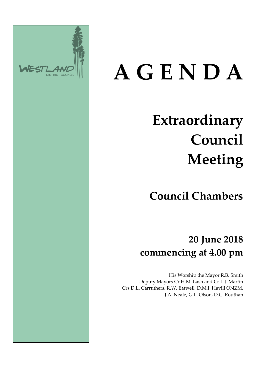

# **A G E N D A**

# **Extraordinary Council Meeting**

**Council Chambers**

**20 June 2018 commencing at 4.00 pm**

His Worship the Mayor R.B. Smith Deputy Mayors Cr H.M. Lash and Cr L.J. Martin Crs D.L. Carruthers, R.W. Eatwell, D.M.J. Havill ONZM, J.A. Neale, G.L. Olson, D.C. Routhan